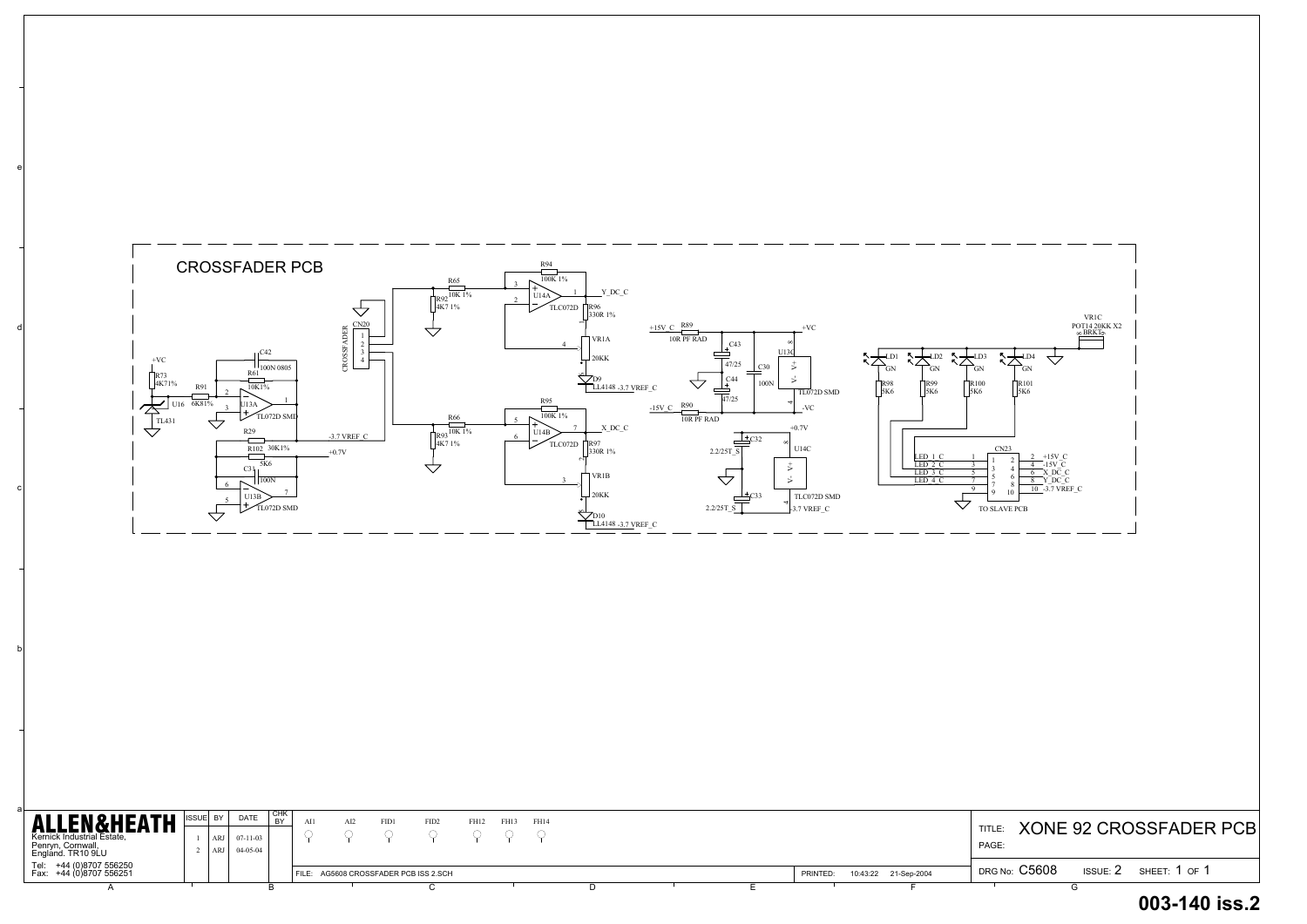a

b

c

d

e

| <b>ALLEN&amp;HEATH</b>                             | BY  | <b>DATE</b>    | ' CHK |       | AI2 | FID1                            | FID <sub>2</sub> | FH12 | FH13 | FH14 |  |  |          |                      |         |       |                 |                           |
|----------------------------------------------------|-----|----------------|-------|-------|-----|---------------------------------|------------------|------|------|------|--|--|----------|----------------------|---------|-------|-----------------|---------------------------|
| Kernick Industrial Estate,                         | ARJ | $07 - 11 - 03$ |       |       |     |                                 |                  |      |      |      |  |  |          |                      | TITLE.  |       |                 | <b>XONE 92 CROSSFADER</b> |
| Penryn, Cornwall,<br>England. TR10 9LU             |     | ARJ 04-05-04   |       |       |     |                                 |                  |      |      |      |  |  |          |                      | PAGE    |       |                 |                           |
| Tel: +44 (0)8707 556250<br>Fax: +44 (0)8707 556251 |     |                |       | FILE: |     | AG5608 CROSSFADER PCB ISS 2.SCH |                  |      |      |      |  |  | PRINTED: | 10:43:22 21-Sep-2004 | DRG No: | C5608 | <b>ISSUE: 2</b> | SHEET: 1 OF 1             |
|                                                    |     |                |       |       |     |                                 |                  |      |      |      |  |  |          |                      |         |       |                 |                           |